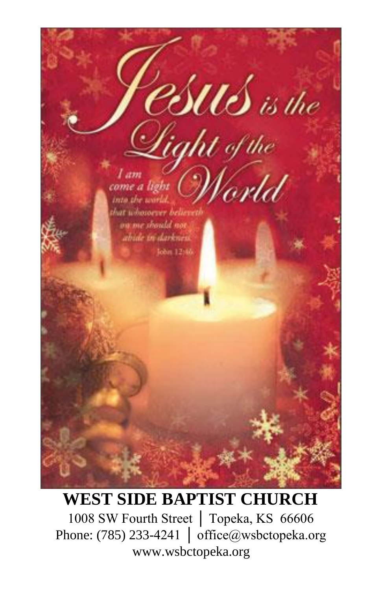

# **WEST SIDE BAPTIST CHURCH**

1008 SW Fourth Street │ Topeka, KS 66606 Phone: (785) 233-4241 │ office@wsbctopeka.org www.wsbctopeka.org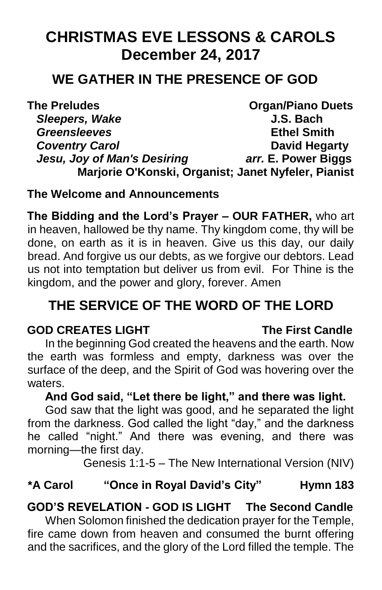# **CHRISTMAS EVE LESSONS & CAROLS December 24, 2017**

# **WE GATHER IN THE PRESENCE OF GOD**

**The Preludes Community Community Community Community Community Organ/Piano Duets** *Sleepers, Wake* **J.S. Bach** *Greensleeves* **Ethel Smith Coventry Carol David Hegarty** *Jesu, Joy of Man's Desiring arr.* **E. Power Biggs Marjorie O'Konski, Organist; Janet Nyfeler, Pianist**

## **The Welcome and Announcements**

**The Bidding and the Lord's Prayer – OUR FATHER,** who art in heaven, hallowed be thy name. Thy kingdom come, thy will be done, on earth as it is in heaven. Give us this day, our daily bread. And forgive us our debts, as we forgive our debtors. Lead us not into temptation but deliver us from evil. For Thine is the kingdom, and the power and glory, forever. Amen

# **THE SERVICE OF THE WORD OF THE LORD**

## **GOD CREATES LIGHT The First Candle**

In the beginning God created the heavens and the earth. Now the earth was formless and empty, darkness was over the surface of the deep, and the Spirit of God was hovering over the waters.

# **And God said, "Let there be light," and there was light.**

God saw that the light was good, and he separated the light from the darkness. God called the light "day," and the darkness he called "night." And there was evening, and there was morning—the first day.

Genesis 1:1-5 – The New International Version (NIV)

# **\*A Carol "Once in Royal David's City" Hymn 183**

# **GOD'S REVELATION - GOD IS LIGHT The Second Candle**

When Solomon finished the dedication prayer for the Temple, fire came down from heaven and consumed the burnt offering and the sacrifices, and the glory of the Lord filled the temple. The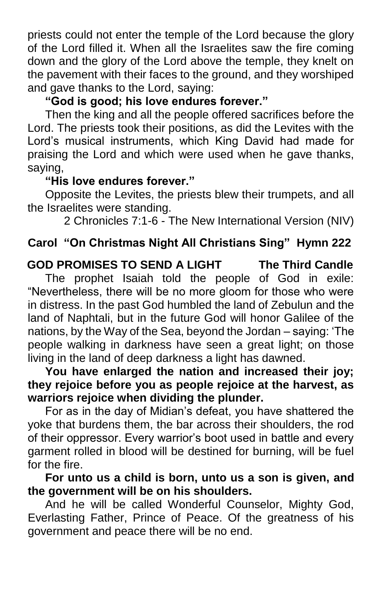priests could not enter the temple of the Lord because the glory of the Lord filled it. When all the Israelites saw the fire coming down and the glory of the Lord above the temple, they knelt on the pavement with their faces to the ground, and they worshiped and gave thanks to the Lord, saying:

# **"God is good; his love endures forever."**

Then the king and all the people offered sacrifices before the Lord. The priests took their positions, as did the Levites with the Lord's musical instruments, which King David had made for praising the Lord and which were used when he gave thanks, saying,

## **"His love endures forever."**

Opposite the Levites, the priests blew their trumpets, and all the Israelites were standing.

2 Chronicles 7:1-6 - The New International Version (NIV)

# **Carol "On Christmas Night All Christians Sing" Hymn 222**

**GOD PROMISES TO SEND A LIGHT The Third Candle**  The prophet Isaiah told the people of God in exile: "Nevertheless, there will be no more gloom for those who were in distress. In the past God humbled the land of Zebulun and the land of Naphtali, but in the future God will honor Galilee of the nations, by the Way of the Sea, beyond the Jordan – saying: 'The people walking in darkness have seen a great light; on those living in the land of deep darkness a light has dawned.

**You have enlarged the nation and increased their joy; they rejoice before you as people rejoice at the harvest, as warriors rejoice when dividing the plunder.**

For as in the day of Midian's defeat, you have shattered the yoke that burdens them, the bar across their shoulders, the rod of their oppressor. Every warrior's boot used in battle and every garment rolled in blood will be destined for burning, will be fuel for the fire.

**For unto us a child is born, unto us a son is given, and the government will be on his shoulders.**

And he will be called Wonderful Counselor, Mighty God, Everlasting Father, Prince of Peace. Of the greatness of his government and peace there will be no end.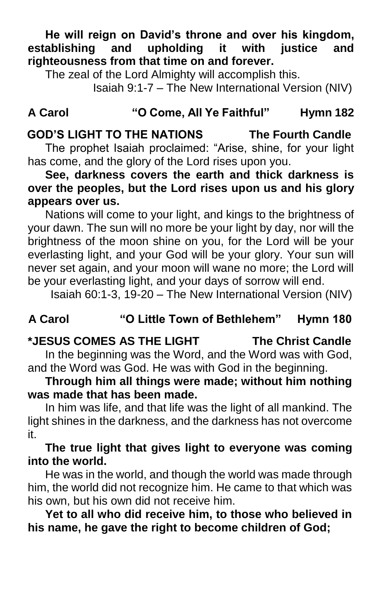**He will reign on David's throne and over his kingdom, establishing and upholding it with justice and righteousness from that time on and forever.** 

The zeal of the Lord Almighty will accomplish this.

Isaiah 9:1-7 – The New International Version (NIV)

### **A Carol "O Come, All Ye Faithful" Hymn 182**

# **GOD'S LIGHT TO THE NATIONS The Fourth Candle**

The prophet Isaiah proclaimed: "Arise, shine, for your light has come, and the glory of the Lord rises upon you.

**See, darkness covers the earth and thick darkness is over the peoples, but the Lord rises upon us and his glory appears over us.**

Nations will come to your light, and kings to the brightness of your dawn. The sun will no more be your light by day, nor will the brightness of the moon shine on you, for the Lord will be your everlasting light, and your God will be your glory. Your sun will never set again, and your moon will wane no more; the Lord will be your everlasting light, and your days of sorrow will end.

Isaiah 60:1-3, 19-20 – The New International Version (NIV)

## **A Carol "O Little Town of Bethlehem" Hymn 180**

### **\*JESUS COMES AS THE LIGHT The Christ Candle**

In the beginning was the Word, and the Word was with God, and the Word was God. He was with God in the beginning.

### **Through him all things were made; without him nothing was made that has been made.**

In him was life, and that life was the light of all mankind. The light shines in the darkness, and the darkness has not overcome it.

#### **The true light that gives light to everyone was coming into the world.**

He was in the world, and though the world was made through him, the world did not recognize him. He came to that which was his own, but his own did not receive him.

**Yet to all who did receive him, to those who believed in his name, he gave the right to become children of God;**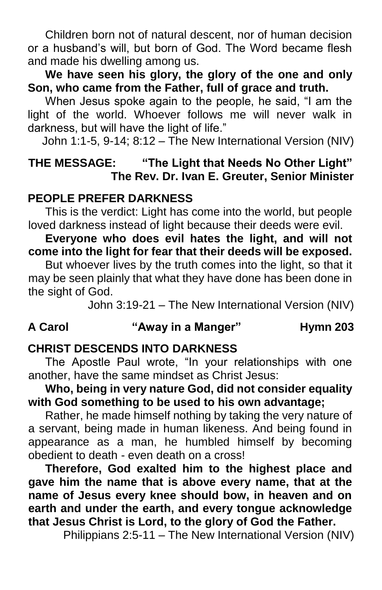Children born not of natural descent, nor of human decision or a husband's will, but born of God. The Word became flesh and made his dwelling among us.

**We have seen his glory, the glory of the one and only Son, who came from the Father, full of grace and truth.**

When Jesus spoke again to the people, he said, "I am the light of the world. Whoever follows me will never walk in darkness, but will have the light of life."

John 1:1-5, 9-14; 8:12 – The New International Version (NIV)

### **THE MESSAGE: "The Light that Needs No Other Light" The Rev. Dr. Ivan E. Greuter, Senior Minister**

#### **PEOPLE PREFER DARKNESS**

This is the verdict: Light has come into the world, but people loved darkness instead of light because their deeds were evil.

**Everyone who does evil hates the light, and will not come into the light for fear that their deeds will be exposed.** 

But whoever lives by the truth comes into the light, so that it may be seen plainly that what they have done has been done in the sight of God.

John 3:19-21 – The New International Version (NIV)

## **A Carol "Away in a Manger" Hymn 203**

### **CHRIST DESCENDS INTO DARKNESS**

The Apostle Paul wrote, "In your relationships with one another, have the same mindset as Christ Jesus:

**Who, being in very nature God, did not consider equality with God something to be used to his own advantage;** 

Rather, he made himself nothing by taking the very nature of a servant, being made in human likeness. And being found in appearance as a man, he humbled himself by becoming obedient to death - even death on a cross!

**Therefore, God exalted him to the highest place and gave him the name that is above every name, that at the name of Jesus every knee should bow, in heaven and on earth and under the earth, and every tongue acknowledge that Jesus Christ is Lord, to the glory of God the Father.**

Philippians 2:5-11 – The New International Version (NIV)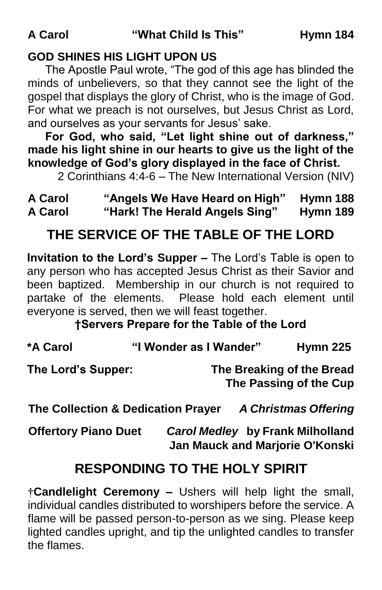# **GOD SHINES HIS LIGHT UPON US**

The Apostle Paul wrote, "The god of this age has blinded the minds of unbelievers, so that they cannot see the light of the gospel that displays the glory of Christ, who is the image of God. For what we preach is not ourselves, but Jesus Christ as Lord, and ourselves as your servants for Jesus' sake.

**For God, who said, "Let light shine out of darkness," made his light shine in our hearts to give us the light of the knowledge of God's glory displayed in the face of Christ.**

2 Corinthians 4:4-6 – The New International Version (NIV)

# **A Carol "Angels We Have Heard on High" Hymn 188 A Carol "Hark! The Herald Angels Sing" Hymn 189**

# **THE SERVICE OF THE TABLE OF THE LORD**

**Invitation to the Lord's Supper –** The Lord's Table is open to any person who has accepted Jesus Christ as their Savior and been baptized. Membership in our church is not required to partake of the elements. Please hold each element until everyone is served, then we will feast together.

**†Servers Prepare for the Table of the Lord**

| *A Carol           | "I Wonder as I Wander" | <b>Hymn 225</b>                                     |
|--------------------|------------------------|-----------------------------------------------------|
| The Lord's Supper: |                        | The Breaking of the Bread<br>The Passing of the Cup |

**The Collection & Dedication Prayer** *A Christmas Offering*

**Offertory Piano Duet** *Carol Medley* **by Frank Milholland Jan Mauck and Marjorie O'Konski** 

# **RESPONDING TO THE HOLY SPIRIT**

**†Candlelight Ceremony –** Ushers will help light the small, individual candles distributed to worshipers before the service. A flame will be passed person-to-person as we sing. Please keep lighted candles upright, and tip the unlighted candles to transfer the flames.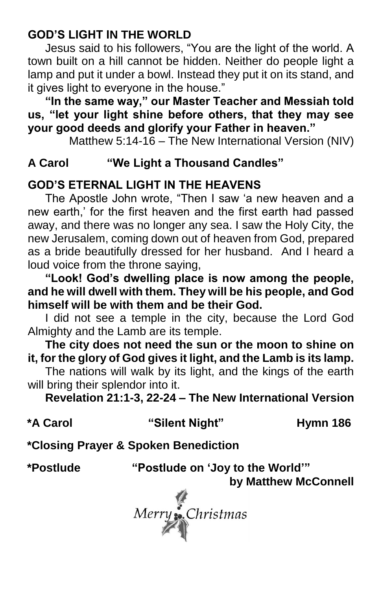# **GOD'S LIGHT IN THE WORLD**

Jesus said to his followers, "You are the light of the world. A town built on a hill cannot be hidden. Neither do people light a lamp and put it under a bowl. Instead they put it on its stand, and it gives light to everyone in the house."

**"In the same way," our Master Teacher and Messiah told us, "let your light shine before others, that they may see your good deeds and glorify your Father in heaven."**

Matthew 5:14-16 – The New International Version (NIV)

## **A Carol "We Light a Thousand Candles"**

# **GOD'S ETERNAL LIGHT IN THE HEAVENS**

The Apostle John wrote, "Then I saw 'a new heaven and a new earth,' for the first heaven and the first earth had passed away, and there was no longer any sea. I saw the Holy City, the new Jerusalem, coming down out of heaven from God, prepared as a bride beautifully dressed for her husband. And I heard a loud voice from the throne saying,

**"Look! God's dwelling place is now among the people, and he will dwell with them. They will be his people, and God himself will be with them and be their God.** 

I did not see a temple in the city, because the Lord God Almighty and the Lamb are its temple.

**The city does not need the sun or the moon to shine on it, for the glory of God gives it light, and the Lamb is its lamp.** 

The nations will walk by its light, and the kings of the earth will bring their splendor into it.

**Revelation 21:1-3, 22-24 – The New International Version** 

| *A Carol | "Silent Night"                       | Hymn 186 |
|----------|--------------------------------------|----------|
|          | *Closing Prayer & Spoken Benediction |          |

**\*Postlude "Postlude on 'Joy to the World'"**

**by Matthew McConnell**

Merry :.<br>Christmas